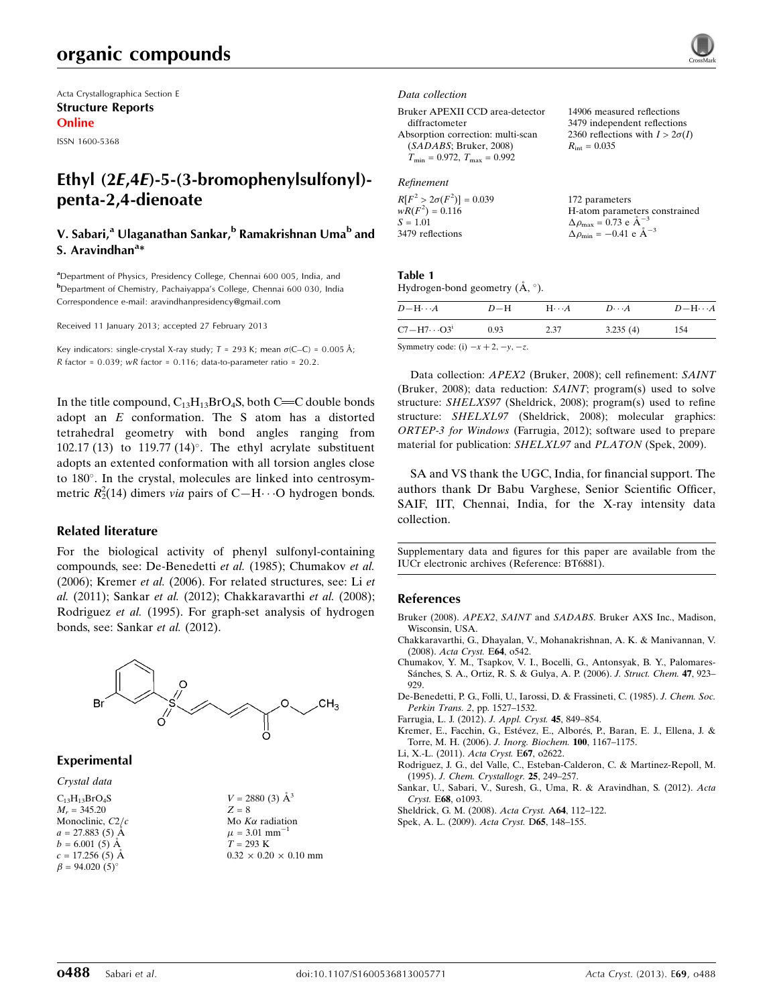Acta Crystallographica Section E Structure Reports Online

ISSN 1600-5368

## Ethyl (2E,4E)-5-(3-bromophenylsulfonyl) penta-2,4-dienoate

### V. Sabari,<sup>a</sup> Ulaganathan Sankar,<sup>b</sup> Ramakrishnan Uma<sup>b</sup> and S. Aravindhan<sup>a</sup>\*

<sup>a</sup>Department of Physics, Presidency College, Chennai 600 005, India, and b Department of Chemistry, Pachaiyappa's College, Chennai 600 030, India Correspondence e-mail: [aravindhanpresidency@gmail.com](https://scripts.iucr.org/cgi-bin/cr.cgi?rm=pdfbb&cnor=bt6881&bbid=BB11)

Received 11 January 2013; accepted 27 February 2013

Key indicators: single-crystal X-ray study;  $T = 293$  K; mean  $\sigma$ (C–C) = 0.005 Å;  $R$  factor = 0.039; wR factor = 0.116; data-to-parameter ratio = 20.2.

In the title compound,  $C_{13}H_{13}BrO_4S$ , both C=C double bonds adopt an E conformation. The S atom has a distorted tetrahedral geometry with bond angles ranging from 102.17 (13) to 119.77 (14)°. The ethyl acrylate substituent adopts an extented conformation with all torsion angles close to 180°. In the crystal, molecules are linked into centrosymmetric  $R_2^2(14)$  dimers *via* pairs of C-H···O hydrogen bonds.

#### Related literature

For the biological activity of phenyl sulfonyl-containing compounds, see: De-Benedetti et al. (1985); Chumakov et al. (2006); Kremer et al. (2006). For related structures, see: Li et al. (2011); Sankar et al. (2012); Chakkaravarthi et al. (2008); Rodriguez et al. (1995). For graph-set analysis of hydrogen bonds, see: Sankar et al. (2012).



#### Experimental

#### Crystal data

 $C_{13}H_{13}BrO_4S$  $M<sub>r</sub> = 345.20$ Monoclinic, C2/c  $a = 27.883(5)$  Å  $b = 6.001(5)$  Å  $c = 17.256(5)$  Å  $\beta = 94.020(5)$ °

 $V = 2880$  (3)  $\AA^3$  $Z = 8$ Mo $K\alpha$  radiation  $\mu = 3.01$  mm<sup>-1</sup>  $T = 293$  K  $0.32 \times 0.20 \times 0.10$  mm

#### Data collection

Bruker APEXII CCD area-detector diffractometer Absorption correction: multi-scan (SADABS; Bruker, 2008)  $T_{\text{min}} = 0.972, T_{\text{max}} = 0.992$ 

#### Refinement

| $R[F^2 > 2\sigma(F^2)] = 0.039$ | 172 parameters                                  |
|---------------------------------|-------------------------------------------------|
| $wR(F^2) = 0.116$               | H-atom parameters constrained                   |
| $S = 1.01$                      | $\Delta \rho_{\text{max}} = 0.73$ e $\AA^{-3}$  |
| 3479 reflections                | $\Delta \rho_{\text{min}} = -0.41$ e $\AA^{-3}$ |

14906 measured reflections 3479 independent reflections 2360 reflections with  $I > 2\sigma(I)$ 

 $R_{\text{int}} = 0.035$ 

#### Table 1

Hydrogen-bond geometry  $(\AA, \degree)$ .

| $D - H \cdots A$                          | $D-H$ | $H\cdots A$ | $D\cdots A$ | $D - H \cdots A$ |
|-------------------------------------------|-------|-------------|-------------|------------------|
| $C7 - H7 \cdots O3^i$                     | 0.93  | 2.37        | 3.235(4)    | 154              |
| Symmetry code: (i) $-x+2$ , $-y$ , $-z$ . |       |             |             |                  |

Data collection: APEX2 (Bruker, 2008); cell refinement: SAINT (Bruker, 2008); data reduction: SAINT; program(s) used to solve structure: SHELXS97 (Sheldrick, 2008); program(s) used to refine structure: SHELXL97 (Sheldrick, 2008); molecular graphics: ORTEP-3 for Windows (Farrugia, 2012); software used to prepare material for publication: SHELXL97 and PLATON (Spek, 2009).

SA and VS thank the UGC, India, for financial support. The authors thank Dr Babu Varghese, Senior Scientific Officer, SAIF, IIT, Chennai, India, for the X-ray intensity data collection.

Supplementary data and figures for this paper are available from the IUCr electronic archives (Reference: BT6881).

#### References

- Bruker (2008). APEX2, SAINT and SADABS[. Bruker AXS Inc., Madison,](https://scripts.iucr.org/cgi-bin/cr.cgi?rm=pdfbb&cnor=bt6881&bbid=BB1) [Wisconsin, USA.](https://scripts.iucr.org/cgi-bin/cr.cgi?rm=pdfbb&cnor=bt6881&bbid=BB1)
- [Chakkaravarthi, G., Dhayalan, V., Mohanakrishnan, A. K. & Manivannan, V.](https://scripts.iucr.org/cgi-bin/cr.cgi?rm=pdfbb&cnor=bt6881&bbid=BB2) (2008). [Acta Cryst.](https://scripts.iucr.org/cgi-bin/cr.cgi?rm=pdfbb&cnor=bt6881&bbid=BB2) E64, o542.
- [Chumakov, Y. M., Tsapkov, V. I., Bocelli, G., Antonsyak, B. Y., Palomares-](https://scripts.iucr.org/cgi-bin/cr.cgi?rm=pdfbb&cnor=bt6881&bbid=BB3)Sánches, S. A., Ortiz, R. S. & Gulya, A. P. (2006). J. Struct. Chem. 47, 923– [929.](https://scripts.iucr.org/cgi-bin/cr.cgi?rm=pdfbb&cnor=bt6881&bbid=BB3)
- [De-Benedetti, P. G., Folli, U., Iarossi, D. & Frassineti, C. \(1985\).](https://scripts.iucr.org/cgi-bin/cr.cgi?rm=pdfbb&cnor=bt6881&bbid=BB4) J. Chem. Soc. Perkin Trans. 2[, pp. 1527–1532.](https://scripts.iucr.org/cgi-bin/cr.cgi?rm=pdfbb&cnor=bt6881&bbid=BB4)
- [Farrugia, L. J. \(2012\).](https://scripts.iucr.org/cgi-bin/cr.cgi?rm=pdfbb&cnor=bt6881&bbid=BB5) J. Appl. Cryst. 45, 849–854.
- Kremer, E., Facchin, G., Estévez, E., Alborés, P., Baran, E. J., Ellena, J. & [Torre, M. H. \(2006\).](https://scripts.iucr.org/cgi-bin/cr.cgi?rm=pdfbb&cnor=bt6881&bbid=BB6) J. Inorg. Biochem. 100, 1167–1175.
- [Li, X.-L. \(2011\).](https://scripts.iucr.org/cgi-bin/cr.cgi?rm=pdfbb&cnor=bt6881&bbid=BB7) Acta Cryst. E67, o2622.
- [Rodriguez, J. G., del Valle, C., Esteban-Calderon, C. & Martinez-Repoll, M.](https://scripts.iucr.org/cgi-bin/cr.cgi?rm=pdfbb&cnor=bt6881&bbid=BB8) (1995). [J. Chem. Crystallogr.](https://scripts.iucr.org/cgi-bin/cr.cgi?rm=pdfbb&cnor=bt6881&bbid=BB8) 25, 249–257.
- [Sankar, U., Sabari, V., Suresh, G., Uma, R. & Aravindhan, S. \(2012\).](https://scripts.iucr.org/cgi-bin/cr.cgi?rm=pdfbb&cnor=bt6881&bbid=BB9) Acta Cryst. E68[, o1093.](https://scripts.iucr.org/cgi-bin/cr.cgi?rm=pdfbb&cnor=bt6881&bbid=BB9)
- [Sheldrick, G. M. \(2008\).](https://scripts.iucr.org/cgi-bin/cr.cgi?rm=pdfbb&cnor=bt6881&bbid=BB10) Acta Cryst. A64, 112–122.
- [Spek, A. L. \(2009\).](https://scripts.iucr.org/cgi-bin/cr.cgi?rm=pdfbb&cnor=bt6881&bbid=BB11) Acta Cryst. D65, 148–155.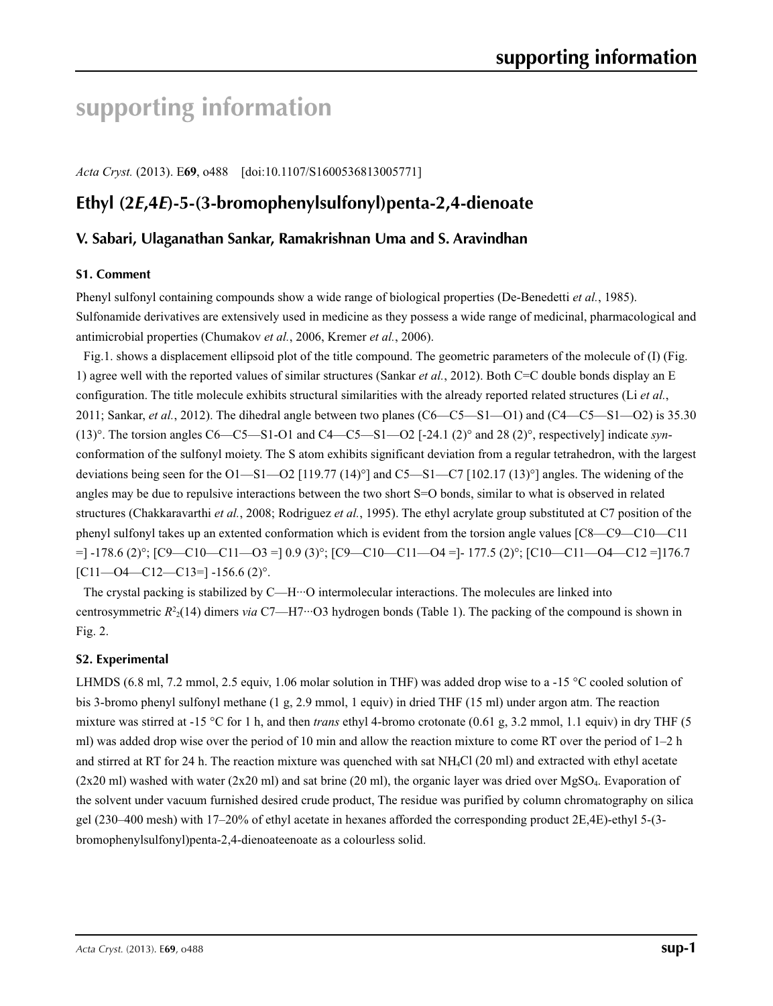# **supporting information**

*Acta Cryst.* (2013). E**69**, o488 [doi:10.1107/S1600536813005771]

## **Ethyl (2***E***,4***E***)-5-(3-bromophenylsulfonyl)penta-2,4-dienoate**

### **V. Sabari, Ulaganathan Sankar, Ramakrishnan Uma and S. Aravindhan**

#### **S1. Comment**

Phenyl sulfonyl containing compounds show a wide range of biological properties (De-Benedetti *et al.*, 1985). Sulfonamide derivatives are extensively used in medicine as they possess a wide range of medicinal, pharmacological and antimicrobial properties (Chumakov *et al.*, 2006, Kremer *et al.*, 2006).

Fig.1. shows a displacement ellipsoid plot of the title compound. The geometric parameters of the molecule of (I) (Fig. 1) agree well with the reported values of similar structures (Sankar *et al.*, 2012). Both C=C double bonds display an E configuration. The title molecule exhibits structural similarities with the already reported related structures (Li *et al.*, 2011; Sankar, *et al.*, 2012). The dihedral angle between two planes (C6—C5—S1—O1) and (C4—C5—S1—O2) is 35.30 (13)°. The torsion angles  $C6 - C5 - S1 - O1$  and  $C4 - C5 - S1 - O2$  [-24.1 (2)° and 28 (2)°, respectively] indicate *syn*conformation of the sulfonyl moiety. The S atom exhibits significant deviation from a regular tetrahedron, with the largest deviations being seen for the O1—S1—O2 [119.77 (14)<sup>o</sup>] and C5—S1—C7 [102.17 (13)<sup>o</sup>] angles. The widening of the angles may be due to repulsive interactions between the two short S=O bonds, similar to what is observed in related structures (Chakkaravarthi *et al.*, 2008; Rodriguez *et al.*, 1995). The ethyl acrylate group substituted at C7 position of the phenyl sulfonyl takes up an extented conformation which is evident from the torsion angle values [C8—C9—C10—C11 =] -178.6 (2)°; [C9—C10—C11—O3 =] 0.9 (3)°; [C9—C10—C11—O4 =]- 177.5 (2)°; [C10—C11—O4—C12 =]176.7  $[Cl1$ —O4—C12—C13=] -156.6 (2)°.

The crystal packing is stabilized by C—H···O intermolecular interactions. The molecules are linked into centrosymmetric  $R^2(14)$  dimers *via* C7—H7…O3 hydrogen bonds (Table 1). The packing of the compound is shown in Fig. 2.

#### **S2. Experimental**

LHMDS (6.8 ml, 7.2 mmol, 2.5 equiv, 1.06 molar solution in THF) was added drop wise to a -15 °C cooled solution of bis 3-bromo phenyl sulfonyl methane (1 g, 2.9 mmol, 1 equiv) in dried THF (15 ml) under argon atm. The reaction mixture was stirred at -15 °C for 1 h, and then *trans* ethyl 4-bromo crotonate (0.61 g, 3.2 mmol, 1.1 equiv) in dry THF (5) ml) was added drop wise over the period of 10 min and allow the reaction mixture to come RT over the period of 1–2 h and stirred at RT for 24 h. The reaction mixture was quenched with sat NH4Cl (20 ml) and extracted with ethyl acetate  $(2x20 \text{ ml})$  washed with water  $(2x20 \text{ ml})$  and sat brine  $(20 \text{ ml})$ , the organic layer was dried over MgSO<sub>4</sub>. Evaporation of the solvent under vacuum furnished desired crude product, The residue was purified by column chromatography on silica gel (230–400 mesh) with 17–20% of ethyl acetate in hexanes afforded the corresponding product 2E,4E)-ethyl 5-(3 bromophenylsulfonyl)penta-2,4-dienoateenoate as a colourless solid.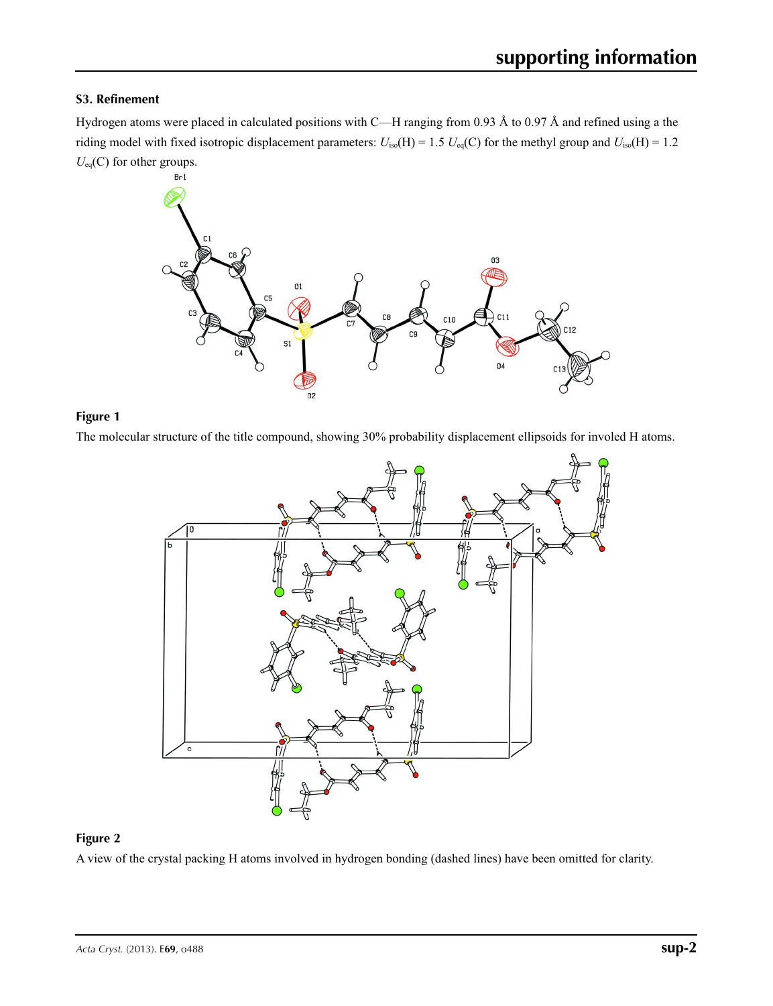### **S3. Refinement**

Hydrogen atoms were placed in calculated positions with C—H ranging from 0.93 Å to 0.97 Å and refined using a the riding model with fixed isotropic displacement parameters:  $U_{iso}(H) = 1.5$   $U_{eq}(C)$  for the methyl group and  $U_{iso}(H) = 1.2$ *U*eq(C) for other groups.



### **Figure 1**

The molecular structure of the title compound, showing 30% probability displacement ellipsoids for involed H atoms.



#### **Figure 2**

A view of the crystal packing H atoms involved in hydrogen bonding (dashed lines) have been omitted for clarity.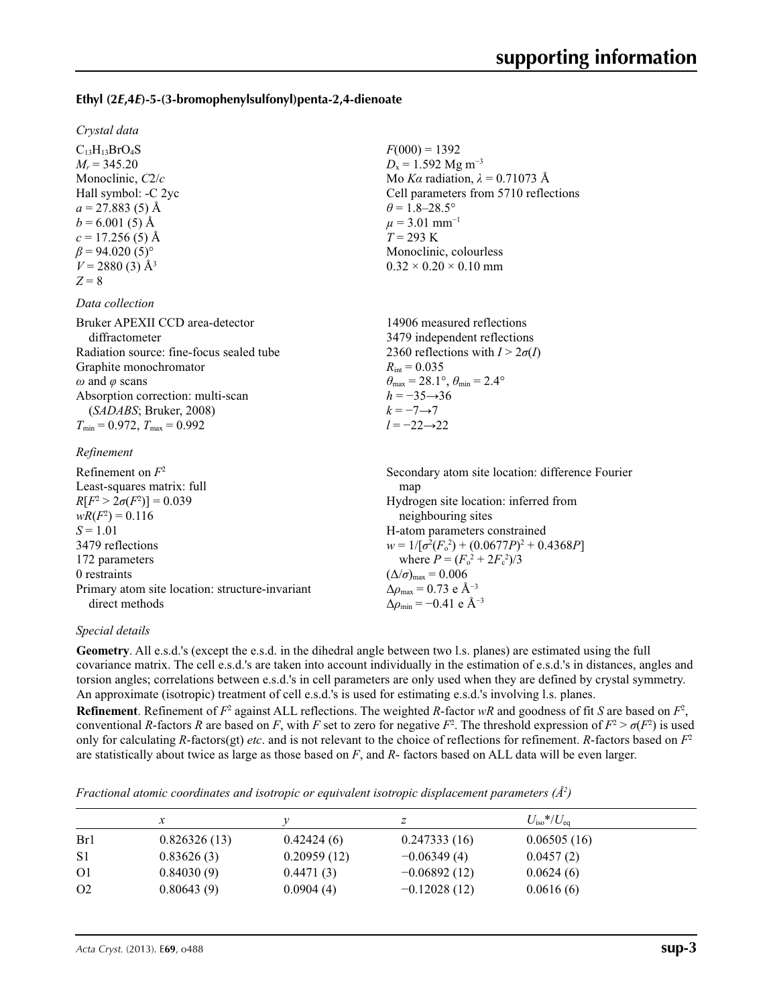#### **Ethyl (2***E***,4***E***)-5-(3-bromophenylsulfonyl)penta-2,4-dienoate**

*Crystal data*

 $C_{13}H_{13}BrO_4S$  $M_r = 345.20$ Monoclinic, *C*2/*c* Hall symbol: -C 2yc  $a = 27.883(5)$  Å  $b = 6.001(5)$  Å  $c = 17.256(5)$  Å  $\beta$  = 94.020 (5)<sup>°</sup>  $V = 2880(3)$  Å<sup>3</sup>  $Z = 8$ 

#### *Data collection*

| Bruker APEXII CCD area-detector          |
|------------------------------------------|
| diffractometer                           |
| Radiation source: fine-focus sealed tube |
| Graphite monochromator                   |
| $\omega$ and $\varphi$ scans             |
| Absorption correction: multi-scan        |
| (SADABS; Bruker, 2008)                   |
| $T_{\min}$ = 0.972, $T_{\max}$ = 0.992   |
|                                          |

#### *Refinement*

| Refinement on $F^2$                             | Secondary atom site location: difference Fourier   |
|-------------------------------------------------|----------------------------------------------------|
| Least-squares matrix: full                      | map                                                |
| $R[F^2 > 2\sigma(F^2)] = 0.039$                 | Hydrogen site location: inferred from              |
| $wR(F^2) = 0.116$                               | neighbouring sites                                 |
| $S = 1.01$                                      | H-atom parameters constrained                      |
| 3479 reflections                                | $w = 1/[\sigma^2(F_0^2) + (0.0677P)^2 + 0.4368P]$  |
| 172 parameters                                  | where $P = (F_o^2 + 2F_c^2)/3$                     |
| 0 restraints                                    | $(\Delta/\sigma)_{\text{max}} = 0.006$             |
| Primary atom site location: structure-invariant | $\Delta\rho_{\text{max}} = 0.73$ e Å <sup>-3</sup> |
| direct methods                                  | $\Delta \rho_{\rm min} = -0.41$ e Å <sup>-3</sup>  |

#### *Special details*

**Geometry**. All e.s.d.'s (except the e.s.d. in the dihedral angle between two l.s. planes) are estimated using the full covariance matrix. The cell e.s.d.'s are taken into account individually in the estimation of e.s.d.'s in distances, angles and torsion angles; correlations between e.s.d.'s in cell parameters are only used when they are defined by crystal symmetry. An approximate (isotropic) treatment of cell e.s.d.'s is used for estimating e.s.d.'s involving l.s. planes.

 $F(000) = 1392$  $D_x = 1.592$  Mg m<sup>-3</sup>

 $\theta$  = 1.8–28.5°  $\mu$  = 3.01 mm<sup>-1</sup> *T* = 293 K

 $R_{\text{int}} = 0.035$ 

*h* = −35→36  $k = -7 \rightarrow 7$ *l* = −22→22

Monoclinic, colourless  $0.32 \times 0.20 \times 0.10$  mm

14906 measured reflections 3479 independent reflections 2360 reflections with  $I > 2\sigma(I)$ 

 $\theta_{\text{max}} = 28.1^{\circ}, \theta_{\text{min}} = 2.4^{\circ}$ 

Mo *Kα* radiation, *λ* = 0.71073 Å Cell parameters from 5710 reflections

**Refinement**. Refinement of  $F^2$  against ALL reflections. The weighted *R*-factor  $wR$  and goodness of fit *S* are based on  $F^2$ , conventional *R*-factors *R* are based on *F*, with *F* set to zero for negative  $F^2$ . The threshold expression of  $F^2 > \sigma(F^2)$  is used only for calculating *R*-factors(gt) *etc*. and is not relevant to the choice of reflections for refinement. *R*-factors based on *F*<sup>2</sup> are statistically about twice as large as those based on *F*, and *R*- factors based on ALL data will be even larger.

*Fractional atomic coordinates and isotropic or equivalent isotropic displacement parameters (Å<sup>2</sup>)* 

|                | х            |             |                | $U_{\rm iso} * / U_{\rm eq}$ |
|----------------|--------------|-------------|----------------|------------------------------|
| Br1            | 0.826326(13) | 0.42424(6)  | 0.247333(16)   | 0.06505(16)                  |
| S <sub>1</sub> | 0.83626(3)   | 0.20959(12) | $-0.06349(4)$  | 0.0457(2)                    |
| O <sub>1</sub> | 0.84030(9)   | 0.4471(3)   | $-0.06892(12)$ | 0.0624(6)                    |
| O <sub>2</sub> | 0.80643(9)   | 0.0904(4)   | $-0.12028(12)$ | 0.0616(6)                    |
|                |              |             |                |                              |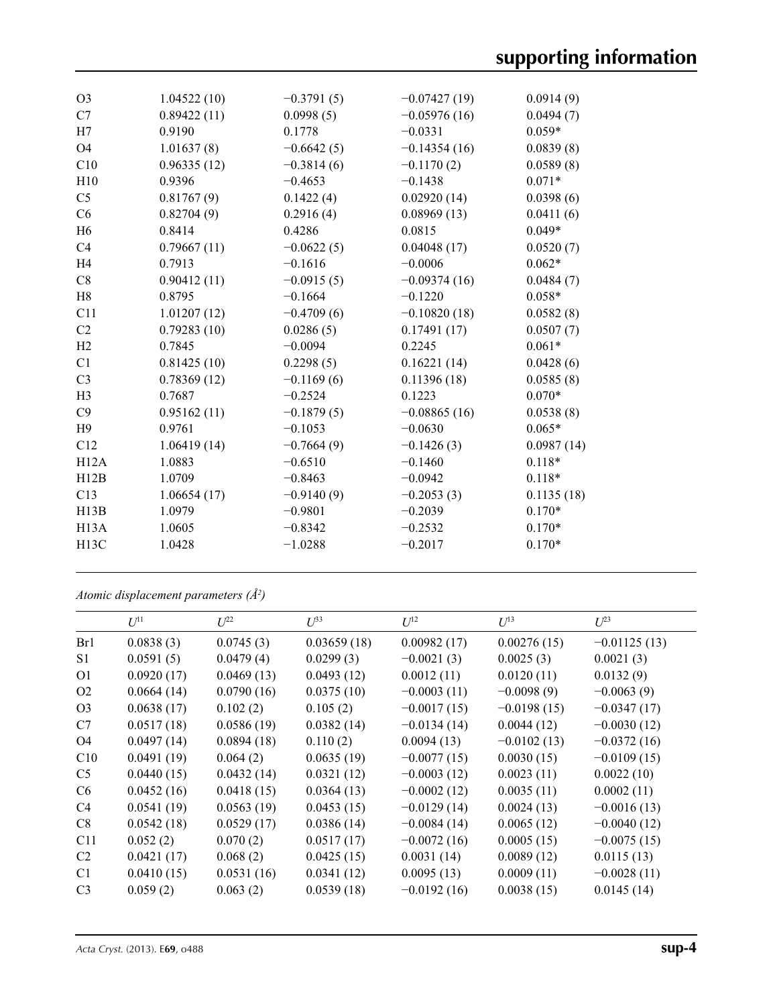| O <sub>3</sub>    | 1.04522(10) | $-0.3791(5)$ | $-0.07427(19)$ | 0.0914(9)  |
|-------------------|-------------|--------------|----------------|------------|
| C7                | 0.89422(11) | 0.0998(5)    | $-0.05976(16)$ | 0.0494(7)  |
| H7                | 0.9190      | 0.1778       | $-0.0331$      | $0.059*$   |
| <b>O4</b>         | 1.01637(8)  | $-0.6642(5)$ | $-0.14354(16)$ | 0.0839(8)  |
| C10               | 0.96335(12) | $-0.3814(6)$ | $-0.1170(2)$   | 0.0589(8)  |
| H10               | 0.9396      | $-0.4653$    | $-0.1438$      | $0.071*$   |
| C <sub>5</sub>    | 0.81767(9)  | 0.1422(4)    | 0.02920(14)    | 0.0398(6)  |
| C6                | 0.82704(9)  | 0.2916(4)    | 0.08969(13)    | 0.0411(6)  |
| H <sub>6</sub>    | 0.8414      | 0.4286       | 0.0815         | $0.049*$   |
| C <sub>4</sub>    | 0.79667(11) | $-0.0622(5)$ | 0.04048(17)    | 0.0520(7)  |
| H <sub>4</sub>    | 0.7913      | $-0.1616$    | $-0.0006$      | $0.062*$   |
| C8                | 0.90412(11) | $-0.0915(5)$ | $-0.09374(16)$ | 0.0484(7)  |
| H8                | 0.8795      | $-0.1664$    | $-0.1220$      | $0.058*$   |
| C11               | 1.01207(12) | $-0.4709(6)$ | $-0.10820(18)$ | 0.0582(8)  |
| C2                | 0.79283(10) | 0.0286(5)    | 0.17491(17)    | 0.0507(7)  |
| H2                | 0.7845      | $-0.0094$    | 0.2245         | $0.061*$   |
| C1                | 0.81425(10) | 0.2298(5)    | 0.16221(14)    | 0.0428(6)  |
| C <sub>3</sub>    | 0.78369(12) | $-0.1169(6)$ | 0.11396(18)    | 0.0585(8)  |
| H <sub>3</sub>    | 0.7687      | $-0.2524$    | 0.1223         | $0.070*$   |
| C9                | 0.95162(11) | $-0.1879(5)$ | $-0.08865(16)$ | 0.0538(8)  |
| H9                | 0.9761      | $-0.1053$    | $-0.0630$      | $0.065*$   |
| C12               | 1.06419(14) | $-0.7664(9)$ | $-0.1426(3)$   | 0.0987(14) |
| H12A              | 1.0883      | $-0.6510$    | $-0.1460$      | $0.118*$   |
| H12B              | 1.0709      | $-0.8463$    | $-0.0942$      | $0.118*$   |
| C13               | 1.06654(17) | $-0.9140(9)$ | $-0.2053(3)$   | 0.1135(18) |
| H13B              | 1.0979      | $-0.9801$    | $-0.2039$      | $0.170*$   |
| H <sub>13</sub> A | 1.0605      | $-0.8342$    | $-0.2532$      | $0.170*$   |
| H <sub>13</sub> C | 1.0428      | $-1.0288$    | $-0.2017$      | $0.170*$   |
|                   |             |              |                |            |

*Atomic displacement parameters (Å2 )*

|                | $U^{11}$   | $U^{22}$   | $U^{33}$    | $U^{12}$      | $U^{13}$      | $U^{23}$       |
|----------------|------------|------------|-------------|---------------|---------------|----------------|
| Br1            | 0.0838(3)  | 0.0745(3)  | 0.03659(18) | 0.00982(17)   | 0.00276(15)   | $-0.01125(13)$ |
| S1             | 0.0591(5)  | 0.0479(4)  | 0.0299(3)   | $-0.0021(3)$  | 0.0025(3)     | 0.0021(3)      |
| O <sub>1</sub> | 0.0920(17) | 0.0469(13) | 0.0493(12)  | 0.0012(11)    | 0.0120(11)    | 0.0132(9)      |
| O2             | 0.0664(14) | 0.0790(16) | 0.0375(10)  | $-0.0003(11)$ | $-0.0098(9)$  | $-0.0063(9)$   |
| O <sub>3</sub> | 0.0638(17) | 0.102(2)   | 0.105(2)    | $-0.0017(15)$ | $-0.0198(15)$ | $-0.0347(17)$  |
| C7             | 0.0517(18) | 0.0586(19) | 0.0382(14)  | $-0.0134(14)$ | 0.0044(12)    | $-0.0030(12)$  |
| O <sub>4</sub> | 0.0497(14) | 0.0894(18) | 0.110(2)    | 0.0094(13)    | $-0.0102(13)$ | $-0.0372(16)$  |
| C10            | 0.0491(19) | 0.064(2)   | 0.0635(19)  | $-0.0077(15)$ | 0.0030(15)    | $-0.0109(15)$  |
| C <sub>5</sub> | 0.0440(15) | 0.0432(14) | 0.0321(12)  | $-0.0003(12)$ | 0.0023(11)    | 0.0022(10)     |
| C <sub>6</sub> | 0.0452(16) | 0.0418(15) | 0.0364(13)  | $-0.0002(12)$ | 0.0035(11)    | 0.0002(11)     |
| C4             | 0.0541(19) | 0.0563(19) | 0.0453(15)  | $-0.0129(14)$ | 0.0024(13)    | $-0.0016(13)$  |
| C8             | 0.0542(18) | 0.0529(17) | 0.0386(14)  | $-0.0084(14)$ | 0.0065(12)    | $-0.0040(12)$  |
| C11            | 0.052(2)   | 0.070(2)   | 0.0517(17)  | $-0.0072(16)$ | 0.0005(15)    | $-0.0075(15)$  |
| C <sub>2</sub> | 0.0421(17) | 0.068(2)   | 0.0425(15)  | 0.0031(14)    | 0.0089(12)    | 0.0115(13)     |
| C <sub>1</sub> | 0.0410(15) | 0.0531(16) | 0.0341(12)  | 0.0095(13)    | 0.0009(11)    | $-0.0028(11)$  |
| C <sub>3</sub> | 0.059(2)   | 0.063(2)   | 0.0539(18)  | $-0.0192(16)$ | 0.0038(15)    | 0.0145(14)     |
|                |            |            |             |               |               |                |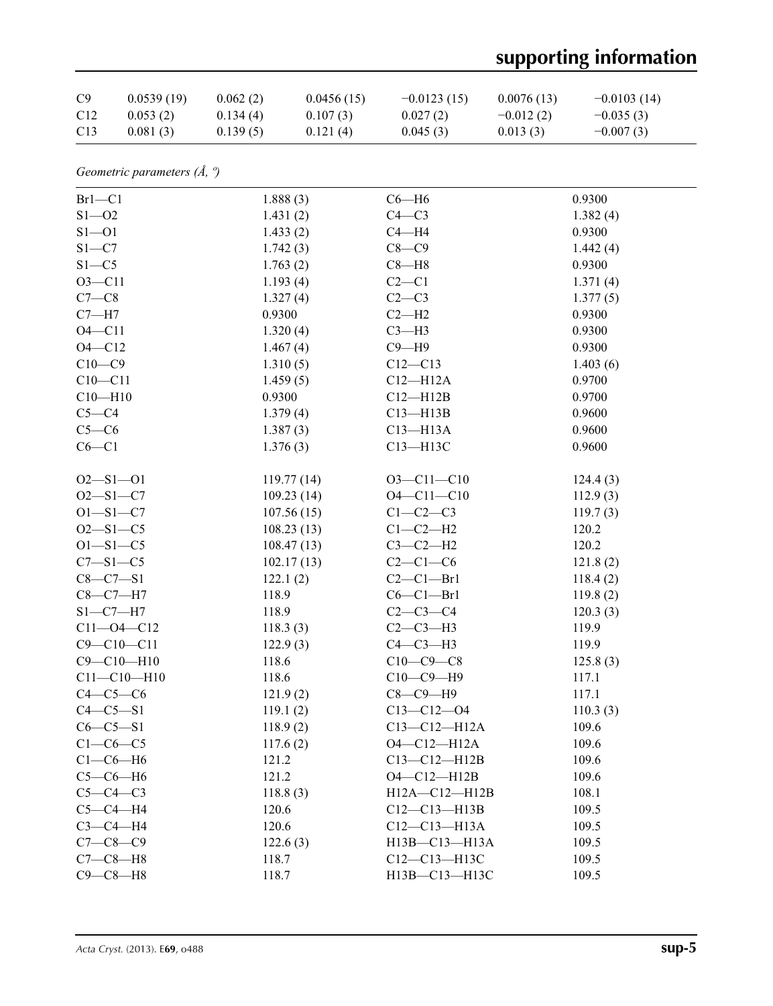# **supporting information**

| C9              | 0.0539(19) | 0.062(2) | 0.0456(15) | $-0.0123(15)$ | 0.0076(13)  | $-0.0103(14)$ |
|-----------------|------------|----------|------------|---------------|-------------|---------------|
| C <sub>12</sub> | 0.053(2)   | 0.134(4) | 0.107(3)   | 0.027(2)      | $-0.012(2)$ | $-0.035(3)$   |
| C <sub>13</sub> | 0.081(3)   | 0.139(5) | 0.121(4)   | 0.045(3)      | 0.013(3)    | $-0.007(3)$   |

*Geometric parameters (Å, º)*

| $Br1-C1$          | 1.888(3)   | $C6 - H6$          | 0.9300   |
|-------------------|------------|--------------------|----------|
| $S1 - 02$         | 1.431(2)   | $C4-C3$            | 1.382(4) |
| $S1 - 01$         | 1.433(2)   | $C4 - H4$          | 0.9300   |
| $S1 - C7$         | 1.742(3)   | $C8-C9$            | 1.442(4) |
| $S1 - C5$         | 1.763(2)   | $C8 - H8$          | 0.9300   |
| $O3 - C11$        | 1.193(4)   | $C2-C1$            | 1.371(4) |
| $C7-C8$           | 1.327(4)   | $C2-C3$            | 1.377(5) |
| $C7 - H7$         | 0.9300     | $C2-H2$            | 0.9300   |
| $O4 - C11$        | 1.320(4)   | $C3-H3$            | 0.9300   |
| $O4 - C12$        | 1.467(4)   | $C9 - H9$          | 0.9300   |
| $C10-C9$          | 1.310(5)   | $C12 - C13$        | 1.403(6) |
| $C10 - C11$       | 1.459(5)   | $C12 - H12A$       | 0.9700   |
| $C10 - H10$       | 0.9300     | $C12 - H12B$       | 0.9700   |
| $C5-C4$           | 1.379(4)   | $C13 - H13B$       | 0.9600   |
| $C5-C6$           | 1.387(3)   | $C13 - H13A$       | 0.9600   |
| $C6-C1$           | 1.376(3)   | C13-H13C           | 0.9600   |
|                   |            |                    |          |
| $O2 - S1 - O1$    | 119.77(14) | $O3 - Cl1 - Cl0$   | 124.4(3) |
| $O2 - S1 - C7$    | 109.23(14) | $O4 - C11 - C10$   | 112.9(3) |
| $O1 - S1 - C7$    | 107.56(15) | $C1-C2-C3$         | 119.7(3) |
| $O2 - S1 - C5$    | 108.23(13) | $C1-C2-H2$         | 120.2    |
| $O1 - S1 - C5$    | 108.47(13) | $C3-C2-H2$         | 120.2    |
| $C7 - S1 - C5$    | 102.17(13) | $C2-C1-C6$         | 121.8(2) |
| $C8 - C7 - S1$    | 122.1(2)   | $C2-C1-Br1$        | 118.4(2) |
| $C8-C7-H7$        | 118.9      | $C6-C1-Br1$        | 119.8(2) |
| $S1 - C7 - H7$    | 118.9      | $C2 - C3 - C4$     | 120.3(3) |
| $C11 - O4 - C12$  | 118.3(3)   | $C2-C3-H3$         | 119.9    |
| $C9 - C10 - C11$  | 122.9(3)   | $C4-C3-H3$         | 119.9    |
| $C9 - C10 - H10$  | 118.6      | $C10-C9-C8$        | 125.8(3) |
| $C11 - C10 - H10$ | 118.6      | $C10-C9-H9$        | 117.1    |
| $C4-C5-C6$        | 121.9(2)   | $C8-C9-H9$         | 117.1    |
| $C4 - C5 - S1$    | 119.1(2)   | $C13 - C12 - 04$   | 110.3(3) |
| $C6 - C5 - S1$    | 118.9(2)   | $C13 - C12 - H12A$ | 109.6    |
| $C1-C6-C5$        | 117.6(2)   | O4-C12-H12A        | 109.6    |
| $C1-C6-H6$        | 121.2      | $C13 - C12 - H12B$ | 109.6    |
| $C5-C6-H6$        | 121.2      | $O4 - C12 - H12B$  | 109.6    |
| $C5-C4-C3$        | 118.8(3)   | H12A-C12-H12B      | 108.1    |
| $C5-C4-H4$        | 120.6      | $C12-C13-H13B$     | 109.5    |
| $C3-C4-H4$        | 120.6      | $C12 - C13 - H13A$ | 109.5    |
| $C7 - C8 - C9$    | 122.6(3)   | H13B-C13-H13A      | 109.5    |
| $C7-C8-H8$        | 118.7      | C12-C13-H13C       | 109.5    |
| $C9 - C8 - H8$    | 118.7      | H13B-C13-H13C      | 109.5    |